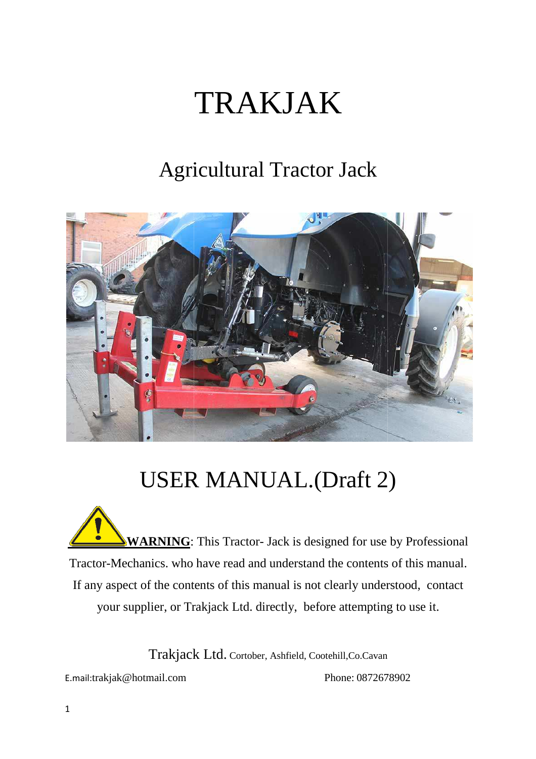# TRAKJAK

### Agricultural Tractor Jack



## USER MANUAL.(Draft 2)

**WARNING**: This Tractor- Jack is designed for use by Professional Tractor-Mechanics. who have read and understand the contents of this manual. If any aspect of the contents of this manual is not clearly understood, contact or-Mechanics. who have read and understand the contents of this ma<br>y aspect of the contents of this manual is not clearly understood, co<br>your supplier, or Trakjack Ltd. directly, before attempting to use it.

Trakjack Ltd. Cortober, Ashfield, Cootehill,Co.Cavan

E.mail:trakjak@hotmail.com

Phone: 0872678902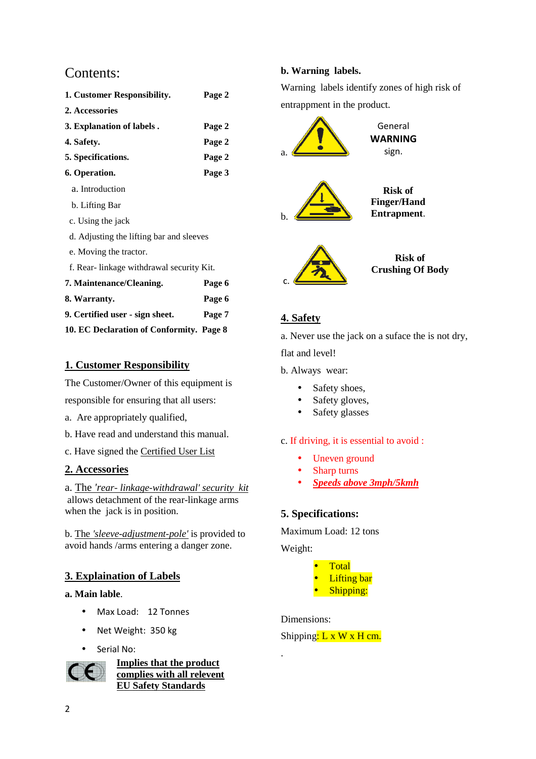#### Contents:

| 1. Customer Responsibility.              | Page 2 |
|------------------------------------------|--------|
| 2. Accessories                           |        |
| 3. Explanation of labels.                | Page 2 |
| 4. Safety.                               | Page 2 |
| 5. Specifications.                       | Page 2 |
| 6. Operation.                            | Page 3 |
| a. Introduction                          |        |
| b. Lifting Bar                           |        |
| c. Using the jack                        |        |
| d. Adjusting the lifting bar and sleeves |        |
| e. Moving the tractor.                   |        |
| f. Rear-linkage withdrawal security Kit. |        |
| 7. Maintenance/Cleaning.                 | Page 6 |
| 8. Warranty.                             | Page 6 |
| 9. Certified user - sign sheet.          | Page 7 |
| 10. EC Declaration of Conformity. Page 8 |        |

#### **1. Customer Responsibility**

The Customer/Owner of this equipment is The Customer/Owner of this equipmer<br>responsible for ensuring that all users:

- a. Are appropriately qualified,
- b. Have read and understand this manual.
- c. Have signed the Certified User List

#### **2. Accessories**

a. The 'rear- linkage-withdrawal' security kit allows detachment of the rear-linkage arms when the jack is in position.

b. The 'sleeve-adjustment-pole' is provided to avoid hands /arms entering a danger zone.

#### **3. Explaination of Labels**

#### **a. Main lable**.

- Max Load: 12 Tonnes
- Net Weight: 350 kg
- Serial No:



**Implies that the product complies with all relevent EU Safety Standards**

#### **b. Warning labels.**

Warning labels identify zones of high risk of entrappment in the product.



#### **4. Safety**

a. Never use the jack on a suface the is not dry,

flat and level!

b. Always wear:

- Safety shoes,
- Safety gloves,
- Safety glasses

#### c. If driving, it is essential to avoid :

- Uneven ground
- Sharp turns
- *<u>Speeds above 3mph/5kmh</u>*

#### **5. Specifications:**

Maximum Load: 12 tons

Weight:



#### Dimensions:

.

Shipping:  $L \times W \times H$  cm.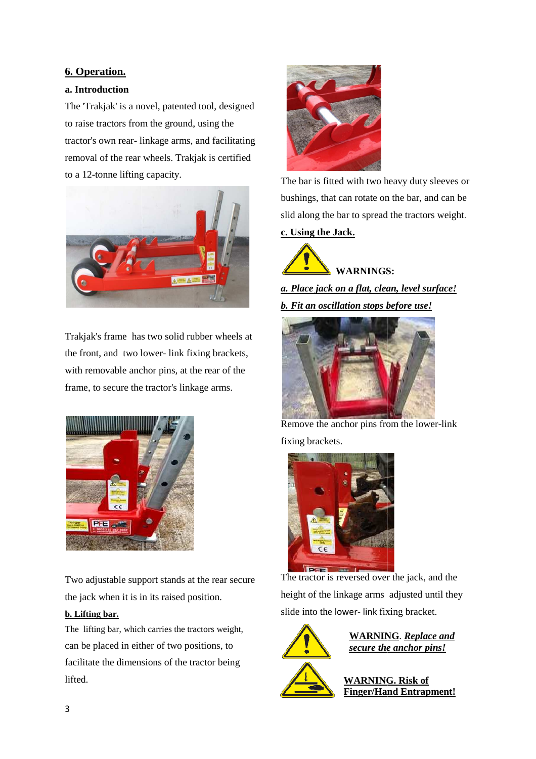#### **6. Operation.**

#### **a. Introduction**

The 'Trakjak' is a novel, patented tool, designed to raise tractors from the ground, using the tractor's own rear- linkage arms, and facilitating removal of the rear wheels. Trakjak is certified to a 12-tonne lifting capacity.



Trakjak's frame has two solid rubber wheels at the front, and two lower- link fixing brackets with removable anchor pins, at the rear of the frame, to secure the tractor's linkage arms.



Two adjustable support stands at the rear secure the jack when it is in its raised position.

#### **b. Lifting bar.**

The lifting bar, which carries the tractors weight, can be placed in either of two positions, to facilitate the dimensions of the tractor being lifted.



bushings, that can rotate on the bar, and can be slid along the bar to spread the tractors weight .

#### **c. Using the Jack.**

**WARNINGS:**

*a. Place jack on a flat, clean clean, level surface! b. Fit an oscillation stops before use!*



Remove the anchor pins from the lower-link fixing brackets.



The tractor is reversed over the jack, and the height of the linkage arms adjusted until they slide into the lower- link fixing bracket.



**WARNING** . *Replace and secure the anchor pins pins!*

**WARNING. Risk of Finger/Hand Entrapment Entrapment!**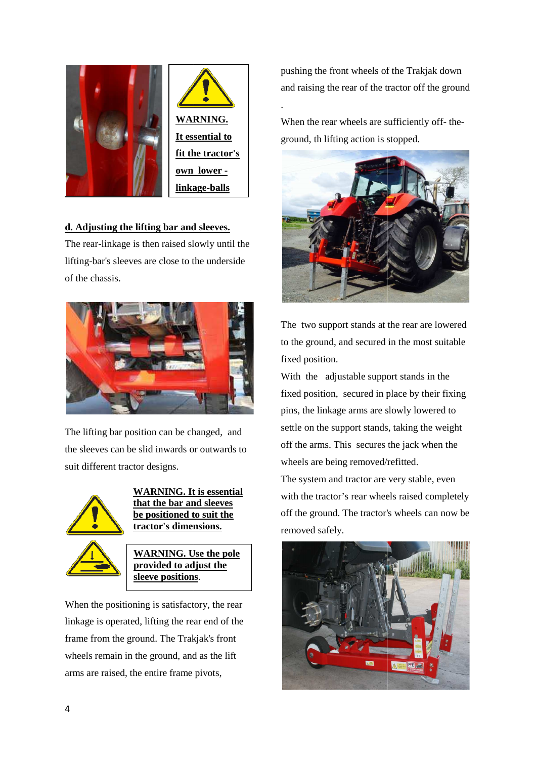

#### **d. Adjusting the lifting bar and sleeves sleeves.**

The rear-linkage is then raised slowly until the lifting-bar's sleeves are close to the underside of the chassis.



The lifting bar position can be changed, and the sleeves can be slid inwards or outwards to suit different tractor designs.





**WARNING.** Use the pole **provided to ad djust the sleeve positions.** 

When the positioning is satisfactory, the rear linkage is operated, lifting the rear end of the frame from the ground. The Trakjak's front wheels remain in the ground, and as the lift arms are raised, the entire frame pivots,

and raising the rear of the tractor off the ground pushing the front wheels of the Trakjak down<br>and raising the rear of the tractor off the groun<br>When the rear wheels are sufficiently off-the-

ground, th lifting action is stopped.

.



The two support stands at the rear are lowered to the ground, and secured in the most suitable fixed position.

With the adjustable support stands in the fixed position, secured in place by their fixing pins, the linkage arms are slowly lowered to settle on the support stands, taking the weight off the arms. This secures the jack when the wheels are being removed/refitted. e suppered in possessed<br>ns are s<br>stands<br>ecures

The system and tractor are very stable, even with the tractor's rear wheels raised completely off the ground. The tractor's wheels can now be removed safely.

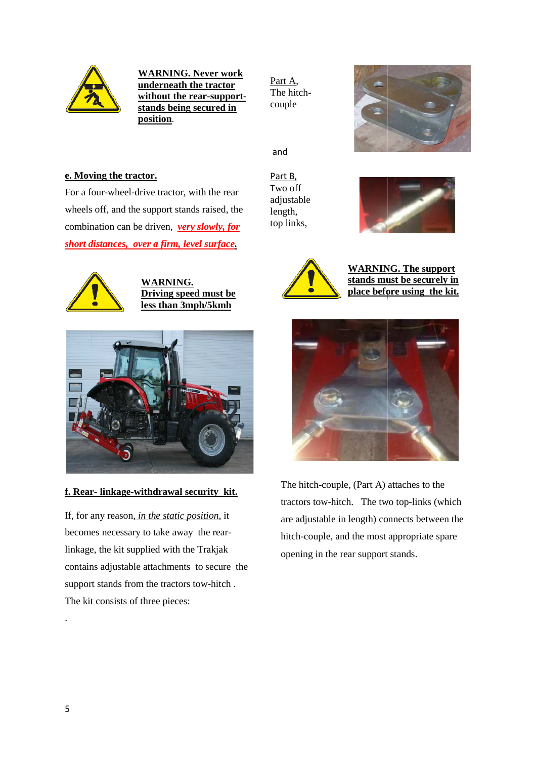

**WARNING. N Never work underneath th he tractor without the rear-supportstands being s secured in position**.

Part A, The hitchcouple



and

#### **e. Moving the tractor.**

For a four-wheel-drive tractor, with the rear wheels off, and the support stands raised, the combination can be driven, *very slowly, for short distances, over a firm, level surface surface.*



**WARNING. Driving speed must be less than 3mph/5kmh**



#### **f. Rear- linkage-withdrawal security kit.**

If, for any reason*, in the static position,* it becomes necessary to take away the rearlinkage, the kit supplied with the Trakjak contains adjustable attachments to secure the support stands from the tractors tow-hitch. The kit consists of three pieces:

Part B, Two off adjustable length, top links,





A*fter the support stands are*  **place before using the kit.WARNING. The support stands must be securely in** 



The hitch-couple, (Part A) attaches to the The hitch-couple, (Part A) attaches to the<br>tractors tow-hitch. The two top-links (which are adjustable in length) connects between the hitch-couple, and the most appropriate spare opening in the rear support stands .

.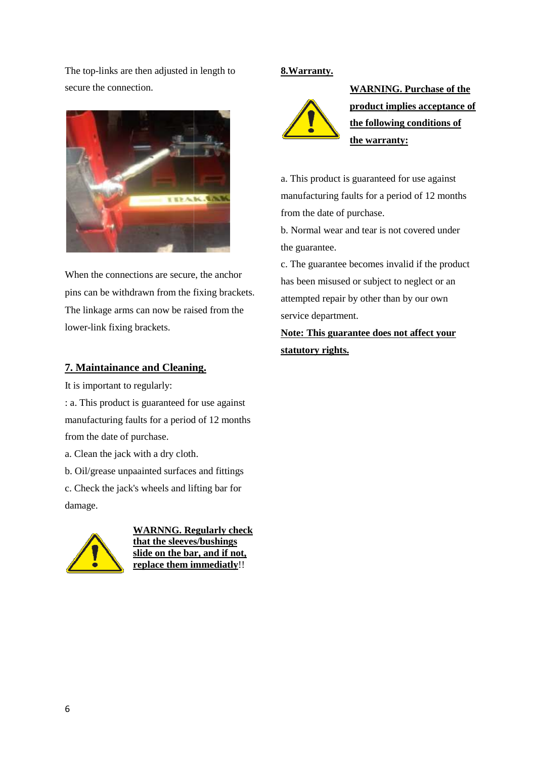The top-links are then adjusted in length to secure the connection.



When the connections are secure, the anchor pins can be withdrawn from the fixing brackets . The linkage arms can now be raised from the lower-link fixing brackets.

#### **7. Maintainance and Cleaning. .**

It is important to regularly:

: a. This product is guaranteed for use against manufacturing faults for a period of 12 months from the date of purchase.

a. Clean the jack with a dry cloth.

b. Oil/grease unpaainted surfaces and fittings c. Check the jack's wheels and lifting bar for

damage.



**WARNNG. Regularly check that the sleeves/bushings slide on the bar, and if not not, replace them immediatly** !!

#### **8.Warranty.**



**WARNING. Purchase of the product implies acceptance of the following conditions of the warranty warranty:**

a. This product is guaranteed for use against manufacturing faults for a period of 12 months from the date of purchase.

b. Normal wear and tear is not covered under the guarantee.

c. The guarantee becomes invalid if the product has been misused or subject to neglect or an attempted repair by other than by our own service department.

Note: This guarantee does not affect your **statutory rights.**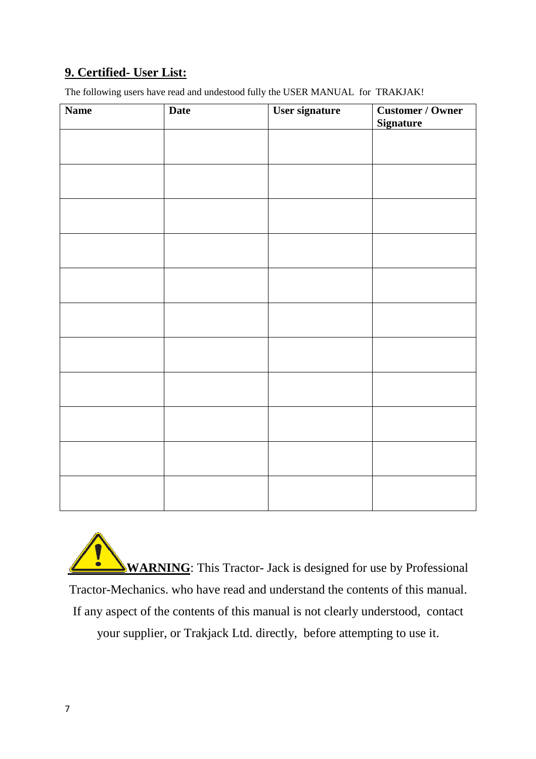#### **9. Certified- User List:**

The following users have read and undestood fully the USER MANUAL for TRAKJAK!

| <b>Name</b> | <b>Date</b> | User signature | <b>Customer / Owner</b><br><b>Signature</b> |
|-------------|-------------|----------------|---------------------------------------------|
|             |             |                |                                             |
|             |             |                |                                             |
|             |             |                |                                             |
|             |             |                |                                             |
|             |             |                |                                             |
|             |             |                |                                             |
|             |             |                |                                             |
|             |             |                |                                             |
|             |             |                |                                             |
|             |             |                |                                             |
|             |             |                |                                             |

Į **WARNING**: This Tractor- Jack is designed for use by Professional Tractor-Mechanics. who have read and understand the contents of this manual. or-Mechanics. who have read and understand the contents of this ma<br>y aspect of the contents of this manual is not clearly understood, co<br>your supplier, or Trakjack Ltd. directly, before attempting to use it. If any aspect of the contents of this manual is not clearly understood, contact